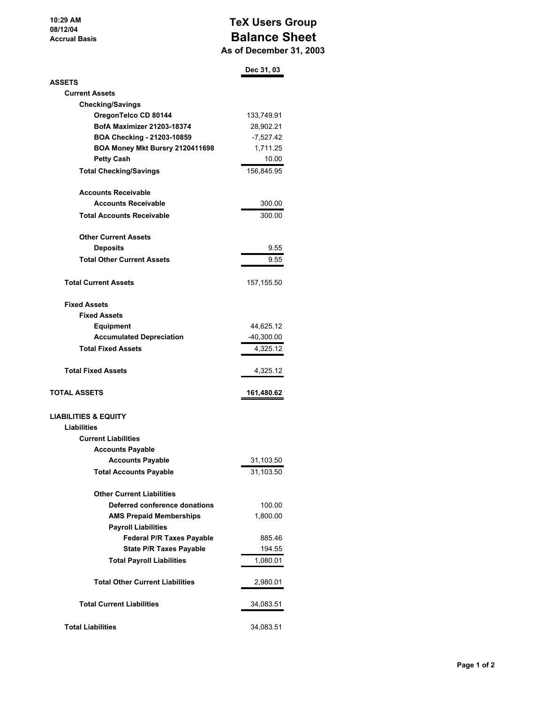**10:29 AM 08/12/04 Accrual Basis**

## **TeX Users Group Balance Sheet As of December 31, 2003**

|                                        | Dec 31, 03   |
|----------------------------------------|--------------|
| <b>ASSETS</b>                          |              |
| <b>Current Assets</b>                  |              |
| <b>Checking/Savings</b>                |              |
| OregonTelco CD 80144                   | 133,749.91   |
| <b>BofA Maximizer 21203-18374</b>      | 28,902.21    |
| BOA Checking - 21203-10859             | $-7,527.42$  |
| BOA Money Mkt Bursry 2120411698        | 1,711.25     |
| <b>Petty Cash</b>                      | 10.00        |
| <b>Total Checking/Savings</b>          | 156,845.95   |
| <b>Accounts Receivable</b>             |              |
| <b>Accounts Receivable</b>             | 300.00       |
| <b>Total Accounts Receivable</b>       | 300.00       |
| <b>Other Current Assets</b>            |              |
| <b>Deposits</b>                        | 9.55         |
| <b>Total Other Current Assets</b>      | 9.55         |
| <b>Total Current Assets</b>            | 157, 155.50  |
| <b>Fixed Assets</b>                    |              |
| <b>Fixed Assets</b>                    |              |
| <b>Equipment</b>                       | 44,625.12    |
| <b>Accumulated Depreciation</b>        | $-40,300.00$ |
| <b>Total Fixed Assets</b>              | 4,325.12     |
| <b>Total Fixed Assets</b>              | 4,325.12     |
| <b>TOTAL ASSETS</b>                    | 161,480.62   |
| <b>LIABILITIES &amp; EQUITY</b>        |              |
| <b>Liabilities</b>                     |              |
| <b>Current Liabilities</b>             |              |
| <b>Accounts Payable</b>                |              |
| <b>Accounts Payable</b>                | 31,103.50    |
| <b>Total Accounts Payable</b>          | 31,103.50    |
| <b>Other Current Liabilities</b>       |              |
| Deferred conference donations          | 100.00       |
| <b>AMS Prepaid Memberships</b>         | 1,800.00     |
| <b>Payroll Liabilities</b>             |              |
| <b>Federal P/R Taxes Payable</b>       | 885.46       |
| <b>State P/R Taxes Payable</b>         | 194.55       |
| <b>Total Payroll Liabilities</b>       | 1,080.01     |
| <b>Total Other Current Liabilities</b> | 2,980.01     |
| <b>Total Current Liabilities</b>       | 34,083.51    |
| <b>Total Liabilities</b>               | 34,083.51    |